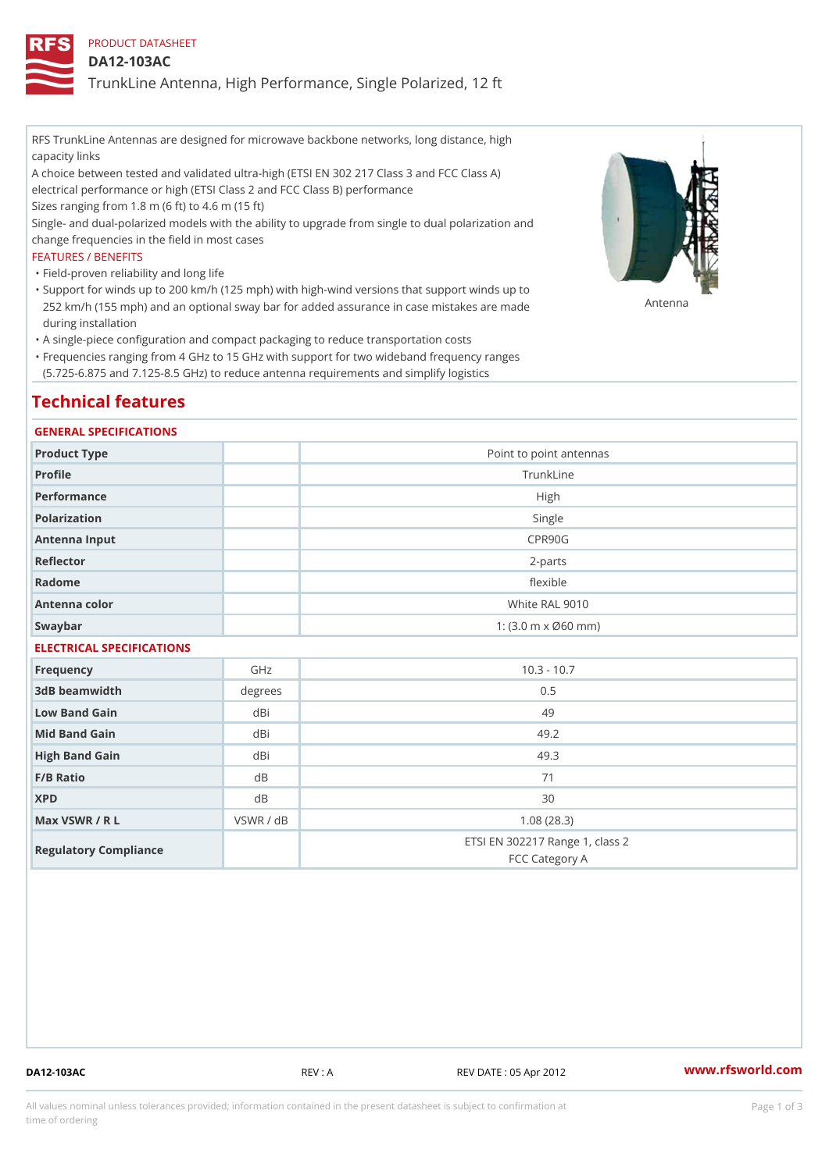PRODUCT DATASHEET

DA12-103AC

TrunkLine Antenna, High Performance, Single Polarized, 12 ft

RFS TrunkLine Antennas are designed for microwave backbone networks, long distance, high capacity links

A choice between tested and validated ultra-high (ETSI EN 302 217 Class 3 and FCC Class A) electrical performance or high (ETSI Class 2 and FCC Class B) performance

Sizes ranging from 1.8 m (6 ft) to 4.6 m (15 ft)

Single- and dual-polarized models with the ability to upgrade from single to dual polarization and change frequencies in the field in most cases

### FEATURES / BENEFITS

"Field-proven reliability and long life

- Support for winds up to 200 km/h (125 mph) with high-wind versions that support winds up to " 252 km/h (155 mph) and an optional sway bar for added assurance in case m S # \$ R & B are made during installation
- "A single-piece configuration and compact packaging to reduce transportation costs
- Frequencies ranging from 4 GHz to 15 GHz with support for two wideband frequency ranges " (5.725-6.875 and 7.125-8.5 GHz) to reduce antenna requirements and simplify logistics

# Technical features

### GENERAL SPECIFICATIONS

| Product Type  | Point to point antennas                                 |  |  |  |
|---------------|---------------------------------------------------------|--|--|--|
| Profile       | TrunkLine                                               |  |  |  |
| Performance   | High                                                    |  |  |  |
| Polarization  | Single                                                  |  |  |  |
| Antenna Input | CPR90G                                                  |  |  |  |
| Reflector     | $2 - p$ arts                                            |  |  |  |
| Radome        | flexible                                                |  |  |  |
| Antenna color | White RAL 9010                                          |  |  |  |
| Swaybar       | 1: $(3.0 \, \text{m} \times \emptyset 60 \, \text{mm})$ |  |  |  |
|               |                                                         |  |  |  |

## ELECTRICAL SPECIFICATIONS

| Frequency             | GHz       | $10.3 - 10.7$                                     |
|-----------------------|-----------|---------------------------------------------------|
| 3dB beamwidth         | degrees   | 0.5                                               |
| Low Band Gain         | dBi       | 49                                                |
| Mid Band Gain         | dBi       | 49.2                                              |
| High Band Gain        | dBi       | 49.3                                              |
| $F/B$ Ratio           | d B       | 71                                                |
| <b>XPD</b>            | d B       | 30                                                |
| Max VSWR / R L        | VSWR / dB | 1.08(28.3)                                        |
| Regulatory Compliance |           | ETSI EN 302217 Range 1, class 2<br>FCC Category A |

DA12-103AC REV : A REV DATE : 05 Apr 2012 [www.](https://www.rfsworld.com)rfsworld.com

All values nominal unless tolerances provided; information contained in the present datasheet is subject to Pcapgeign mation time of ordering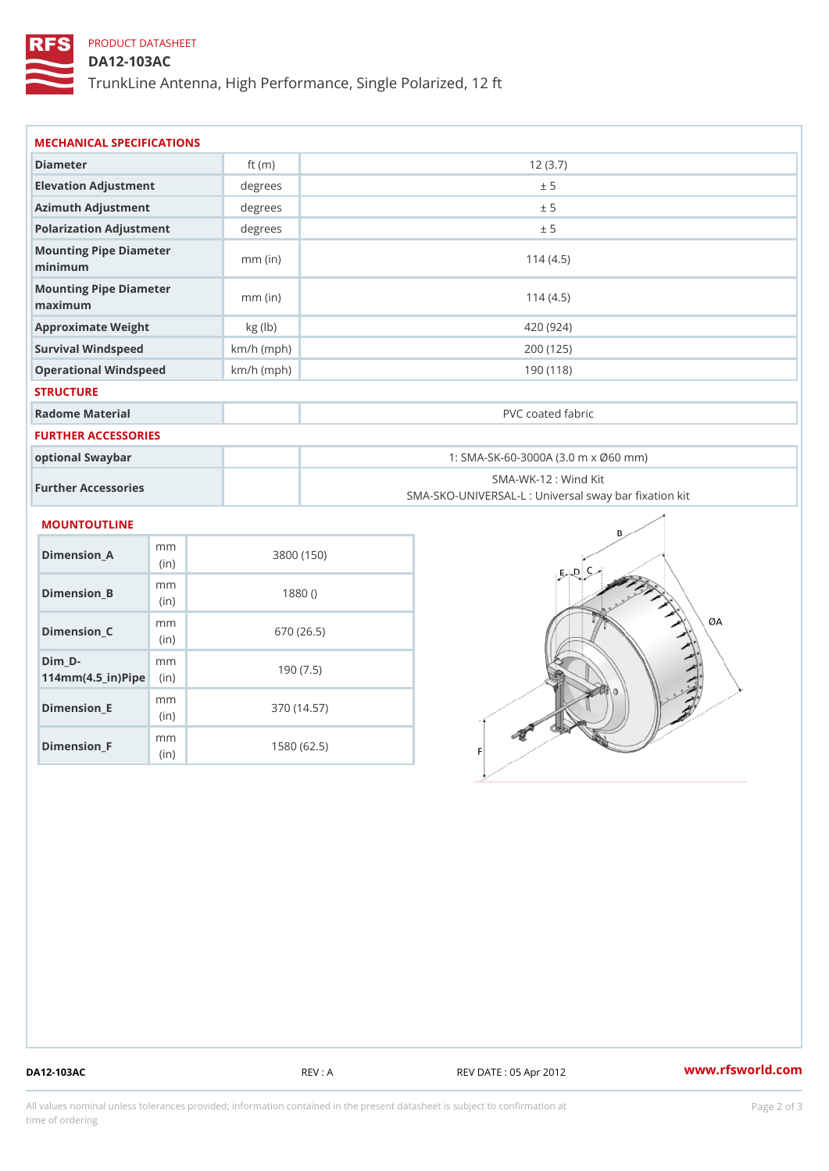## PRODUCT DATASHEET

DA12-103AC

TrunkLine Antenna, High Performance, Single Polarized, 12 ft

| Diameter<br>12(3.7)<br>ft $(m)$<br>Elevation Adjustment<br>degree:<br>± 5                       |  |  |  |
|-------------------------------------------------------------------------------------------------|--|--|--|
|                                                                                                 |  |  |  |
|                                                                                                 |  |  |  |
| Azimuth Adjustment<br>degrees<br>± 5                                                            |  |  |  |
| Polarization Adjustment<br>degrees<br>± 5                                                       |  |  |  |
| Mounting Pipe Diameter<br>$mm$ (in)<br>114(4.5)<br>minimum                                      |  |  |  |
| Mounting Pipe Diameter<br>$mm$ (in)<br>114(4.5)<br>maximum                                      |  |  |  |
| Approximate Weight<br>kg (lb)<br>420 (924)                                                      |  |  |  |
| Survival Windspeed<br>200(125)<br>$km/h$ (mph)                                                  |  |  |  |
| Operational Windspeed<br>$km/h$ (mph)<br>190 (118)                                              |  |  |  |
| <b>STRUCTURE</b>                                                                                |  |  |  |
| Radome Material<br>PVC coated fabric                                                            |  |  |  |
| FURTHER ACCESSORIES                                                                             |  |  |  |
| optional Swaybar<br>1: SMA-SK-60-3000A (3.0 m x Ø60 mm)                                         |  |  |  |
| SMA-WK-12: Wind Kit<br>Further Accessories<br>SMA-SKO-UNIVERSAL-L : Universal sway bar fixation |  |  |  |
| <b>MOUNTOUTLINE</b>                                                                             |  |  |  |
| m <sub>m</sub><br>$Dimension_A$<br>3800 (150)<br>(in)                                           |  |  |  |
| m m<br>Dimension_B<br>1880()<br>(in)                                                            |  |  |  |
| m <sub>m</sub><br>$Dimension_C$<br>670 (26.5)<br>(in)                                           |  |  |  |
| $Dim_D - D -$<br>m m<br>190(7.5)<br>$114$ m m (4.5 _ ir ) $\mathbb{R}$ imple                    |  |  |  |

Dimension\_E

Dimension\_F

mm (in)

m<sub>m</sub> (in)

370 (14.57)

1580 (62.5)

DA12-103AC REV : A REV DATE : 05 Apr 2012 [www.](https://www.rfsworld.com)rfsworld.com